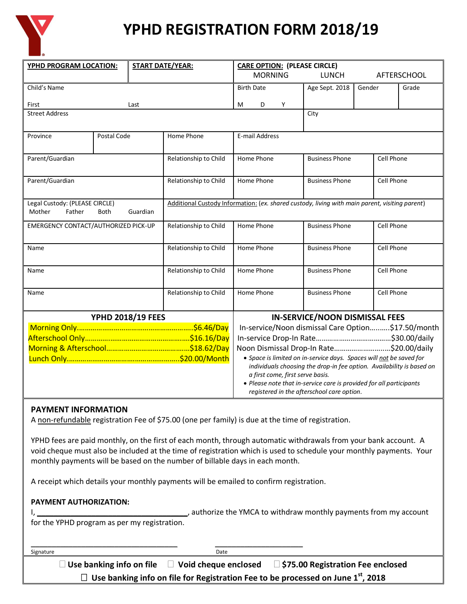

# **YPHD REGISTRATION FORM 2018/19**

| YPHD PROGRAM LOCATION:                                                        |             | <b>START DATE/YEAR:</b> | <b>CARE OPTION: (PLEASE CIRCLE)</b>                                                            |                                                                                                                                              |                       |                                            |                                            |                    |  |
|-------------------------------------------------------------------------------|-------------|-------------------------|------------------------------------------------------------------------------------------------|----------------------------------------------------------------------------------------------------------------------------------------------|-----------------------|--------------------------------------------|--------------------------------------------|--------------------|--|
|                                                                               |             |                         |                                                                                                | <b>MORNING</b>                                                                                                                               |                       | <b>LUNCH</b>                               |                                            | <b>AFTERSCHOOL</b> |  |
| Child's Name                                                                  |             |                         |                                                                                                | <b>Birth Date</b>                                                                                                                            |                       | Age Sept. 2018                             | Gender                                     | Grade              |  |
| First                                                                         |             | Last                    |                                                                                                | М<br>D                                                                                                                                       | Υ                     |                                            |                                            |                    |  |
| <b>Street Address</b>                                                         |             |                         |                                                                                                |                                                                                                                                              |                       | City                                       |                                            |                    |  |
|                                                                               |             |                         |                                                                                                |                                                                                                                                              |                       |                                            |                                            |                    |  |
| Province                                                                      | Postal Code |                         | Home Phone                                                                                     | E-mail Address                                                                                                                               |                       |                                            |                                            |                    |  |
|                                                                               |             |                         |                                                                                                |                                                                                                                                              |                       |                                            |                                            |                    |  |
| Parent/Guardian                                                               |             |                         | Relationship to Child                                                                          | Home Phone                                                                                                                                   |                       | <b>Business Phone</b>                      |                                            | Cell Phone         |  |
|                                                                               |             |                         |                                                                                                |                                                                                                                                              |                       |                                            |                                            |                    |  |
| Parent/Guardian                                                               |             |                         | Relationship to Child                                                                          | Home Phone                                                                                                                                   |                       |                                            | <b>Cell Phone</b><br><b>Business Phone</b> |                    |  |
|                                                                               |             |                         |                                                                                                |                                                                                                                                              |                       |                                            |                                            |                    |  |
| Legal Custody: (PLEASE CIRCLE)<br>Guardian<br>Mother<br>Father<br><b>Both</b> |             |                         | Additional Custody Information: (ex. shared custody, living with main parent, visiting parent) |                                                                                                                                              |                       |                                            |                                            |                    |  |
| EMERGENCY CONTACT/AUTHORIZED PICK-UP                                          |             |                         | Relationship to Child                                                                          | Home Phone                                                                                                                                   |                       | <b>Business Phone</b>                      |                                            | Cell Phone         |  |
|                                                                               |             |                         |                                                                                                |                                                                                                                                              |                       |                                            |                                            |                    |  |
| Name                                                                          |             |                         | Relationship to Child                                                                          | Home Phone                                                                                                                                   |                       | <b>Business Phone</b><br>Cell Phone        |                                            |                    |  |
|                                                                               |             |                         |                                                                                                |                                                                                                                                              |                       |                                            |                                            |                    |  |
| Name                                                                          |             |                         | Relationship to Child                                                                          | Home Phone                                                                                                                                   |                       | Cell Phone<br><b>Business Phone</b>        |                                            |                    |  |
|                                                                               |             |                         |                                                                                                |                                                                                                                                              |                       |                                            |                                            |                    |  |
| Name                                                                          |             | Relationship to Child   | Home Phone                                                                                     |                                                                                                                                              | <b>Business Phone</b> |                                            | Cell Phone                                 |                    |  |
|                                                                               |             |                         |                                                                                                |                                                                                                                                              |                       |                                            |                                            |                    |  |
| <b>YPHD 2018/19 FEES</b>                                                      |             |                         |                                                                                                | <b>IN-SERVICE/NOON DISMISSAL FEES</b><br>In-service/Noon dismissal Care Option\$17.50/month                                                  |                       |                                            |                                            |                    |  |
|                                                                               |             |                         |                                                                                                |                                                                                                                                              |                       |                                            |                                            |                    |  |
|                                                                               |             |                         |                                                                                                | Noon Dismissal Drop-In Rate\$20.00/daily                                                                                                     |                       |                                            |                                            |                    |  |
|                                                                               |             |                         |                                                                                                | • Space is limited on in-service days. Spaces will not be saved for<br>individuals choosing the drop-in fee option. Availability is based on |                       |                                            |                                            |                    |  |
|                                                                               |             |                         |                                                                                                |                                                                                                                                              |                       |                                            |                                            |                    |  |
|                                                                               |             |                         |                                                                                                | a first come, first serve basis.<br>• Please note that in-service care is provided for all participants                                      |                       |                                            |                                            |                    |  |
|                                                                               |             |                         |                                                                                                |                                                                                                                                              |                       | registered in the afterschool care option. |                                            |                    |  |

## **PAYMENT INFORMATION**

A non-refundable registration Fee of \$75.00 (one per family) is due at the time of registration.

YPHD fees are paid monthly, on the first of each month, through automatic withdrawals from your bank account. A void cheque must also be included at the time of registration which is used to schedule your monthly payments. Your monthly payments will be based on the number of billable days in each month.

A receipt which details your monthly payments will be emailed to confirm registration.

| <b>PAYMENT AUTHORIZATION:</b> |
|-------------------------------|
|-------------------------------|

|                                              | authorize the YMCA to withdraw monthly payments from my account |
|----------------------------------------------|-----------------------------------------------------------------|
| for the YPHD program as per my registration. |                                                                 |

\_\_\_\_\_\_\_\_\_\_\_\_\_\_\_\_\_\_\_\_\_\_\_\_\_\_\_\_\_\_\_\_\_\_\_ \_\_\_\_\_\_\_\_\_\_\_\_\_\_\_\_\_\_\_\_\_ Signature **Date** 

 **Use banking info on file Void cheque enclosed \$75.00 Registration Fee enclosed Use banking info on file for Registration Fee to be processed on June 1st, 2018**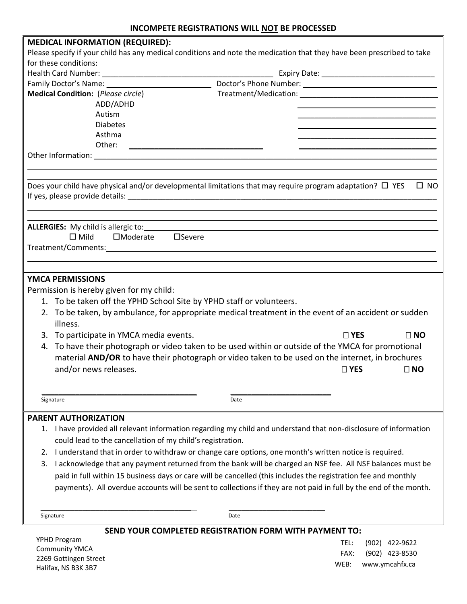| <b>MEDICAL INFORMATION (REQUIRED):</b>                                             |                                                                                                                                   |
|------------------------------------------------------------------------------------|-----------------------------------------------------------------------------------------------------------------------------------|
|                                                                                    | Please specify if your child has any medical conditions and note the medication that they have been prescribed to take            |
| for these conditions:                                                              |                                                                                                                                   |
|                                                                                    |                                                                                                                                   |
|                                                                                    |                                                                                                                                   |
| <b>Medical Condition:</b> (Please circle)                                          |                                                                                                                                   |
| ADD/ADHD                                                                           |                                                                                                                                   |
| Autism                                                                             |                                                                                                                                   |
| <b>Diabetes</b>                                                                    |                                                                                                                                   |
| Asthma                                                                             |                                                                                                                                   |
| Other:                                                                             | <u> 1989 - John Stein, Amerikaansk politiker (</u>                                                                                |
|                                                                                    |                                                                                                                                   |
|                                                                                    |                                                                                                                                   |
|                                                                                    |                                                                                                                                   |
|                                                                                    | Does your child have physical and/or developmental limitations that may require program adaptation? $\square$ YES<br>$\square$ NO |
|                                                                                    |                                                                                                                                   |
|                                                                                    |                                                                                                                                   |
|                                                                                    |                                                                                                                                   |
| <b>ALLERGIES:</b> My child is allergic to:<br>$\square$ Mild<br>$\square$ Moderate | $\Box$ Severe                                                                                                                     |
|                                                                                    |                                                                                                                                   |
|                                                                                    |                                                                                                                                   |
|                                                                                    |                                                                                                                                   |
| <b>YMCA PERMISSIONS</b>                                                            |                                                                                                                                   |
|                                                                                    |                                                                                                                                   |
| Permission is hereby given for my child:                                           |                                                                                                                                   |
| 1. To be taken off the YPHD School Site by YPHD staff or volunteers.               |                                                                                                                                   |
|                                                                                    | 2. To be taken, by ambulance, for appropriate medical treatment in the event of an accident or sudden                             |
| illness.                                                                           |                                                                                                                                   |
| 3. To participate in YMCA media events.                                            | $\square$ YES<br>$\Box$ NO                                                                                                        |
|                                                                                    | 4. To have their photograph or video taken to be used within or outside of the YMCA for promotional                               |
|                                                                                    | material AND/OR to have their photograph or video taken to be used on the internet, in brochures                                  |
| and/or news releases.                                                              | $\Box$ YES<br>$\Box$ NO                                                                                                           |
|                                                                                    |                                                                                                                                   |
|                                                                                    |                                                                                                                                   |
| Signature                                                                          | Date                                                                                                                              |
| <b>PARENT AUTHORIZATION</b>                                                        |                                                                                                                                   |
|                                                                                    |                                                                                                                                   |
| 1.                                                                                 | I have provided all relevant information regarding my child and understand that non-disclosure of information                     |
| could lead to the cancellation of my child's registration.                         |                                                                                                                                   |
| 2.                                                                                 | I understand that in order to withdraw or change care options, one month's written notice is required.                            |
| 3.                                                                                 | I acknowledge that any payment returned from the bank will be charged an NSF fee. All NSF balances must be                        |
|                                                                                    | paid in full within 15 business days or care will be cancelled (this includes the registration fee and monthly                    |
|                                                                                    | payments). All overdue accounts will be sent to collections if they are not paid in full by the end of the month.                 |
|                                                                                    |                                                                                                                                   |
|                                                                                    |                                                                                                                                   |
| Signature                                                                          | Date                                                                                                                              |
|                                                                                    | SEND YOUR COMPLETED REGISTRATION FORM WITH PAYMENT TO:                                                                            |
| YPHD Program                                                                       | TEL:<br>(902) 422-9622                                                                                                            |
| Community YMCA                                                                     |                                                                                                                                   |

Community YMCA 2269 Gottingen Street Halifax, NS B3K 3B7

FAX: (902) 423-8530 WEB: www.ymcahfx.ca